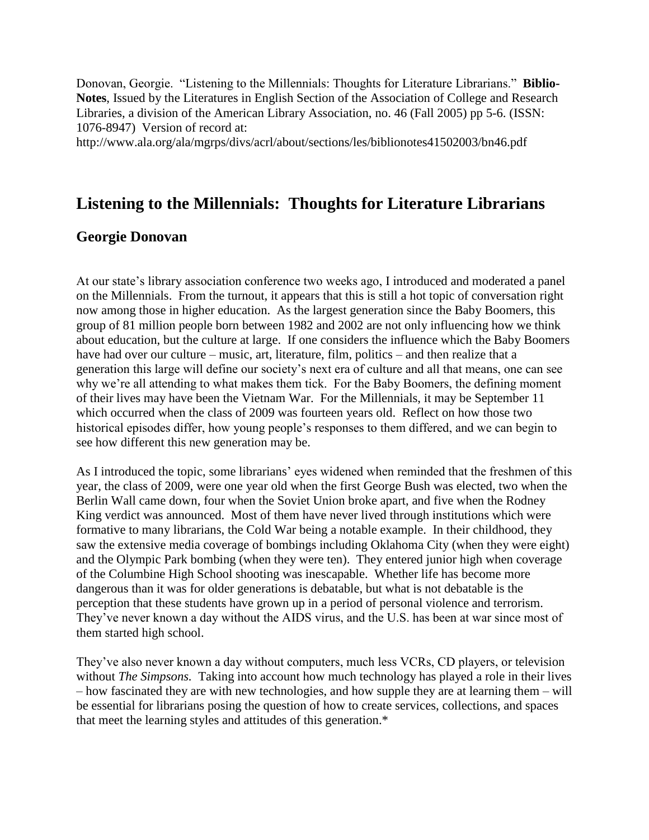Donovan, Georgie. "Listening to the Millennials: Thoughts for Literature Librarians." **Biblio-Notes**, Issued by the Literatures in English Section of the Association of College and Research Libraries, a division of the American Library Association, no. 46 (Fall 2005) pp 5-6. (ISSN: 1076-8947) Version of record at:

http://www.ala.org/ala/mgrps/divs/acrl/about/sections/les/biblionotes41502003/bn46.pdf

## **Listening to the Millennials: Thoughts for Literature Librarians**

## **Georgie Donovan**

At our state's library association conference two weeks ago, I introduced and moderated a panel on the Millennials. From the turnout, it appears that this is still a hot topic of conversation right now among those in higher education. As the largest generation since the Baby Boomers, this group of 81 million people born between 1982 and 2002 are not only influencing how we think about education, but the culture at large. If one considers the influence which the Baby Boomers have had over our culture – music, art, literature, film, politics – and then realize that a generation this large will define our society's next era of culture and all that means, one can see why we're all attending to what makes them tick. For the Baby Boomers, the defining moment of their lives may have been the Vietnam War. For the Millennials, it may be September 11 which occurred when the class of 2009 was fourteen years old. Reflect on how those two historical episodes differ, how young people's responses to them differed, and we can begin to see how different this new generation may be.

As I introduced the topic, some librarians' eyes widened when reminded that the freshmen of this year, the class of 2009, were one year old when the first George Bush was elected, two when the Berlin Wall came down, four when the Soviet Union broke apart, and five when the Rodney King verdict was announced. Most of them have never lived through institutions which were formative to many librarians, the Cold War being a notable example. In their childhood, they saw the extensive media coverage of bombings including Oklahoma City (when they were eight) and the Olympic Park bombing (when they were ten). They entered junior high when coverage of the Columbine High School shooting was inescapable. Whether life has become more dangerous than it was for older generations is debatable, but what is not debatable is the perception that these students have grown up in a period of personal violence and terrorism. They've never known a day without the AIDS virus, and the U.S. has been at war since most of them started high school.

They've also never known a day without computers, much less VCRs, CD players, or television without *The Simpsons*. Taking into account how much technology has played a role in their lives – how fascinated they are with new technologies, and how supple they are at learning them – will be essential for librarians posing the question of how to create services, collections, and spaces that meet the learning styles and attitudes of this generation.\*